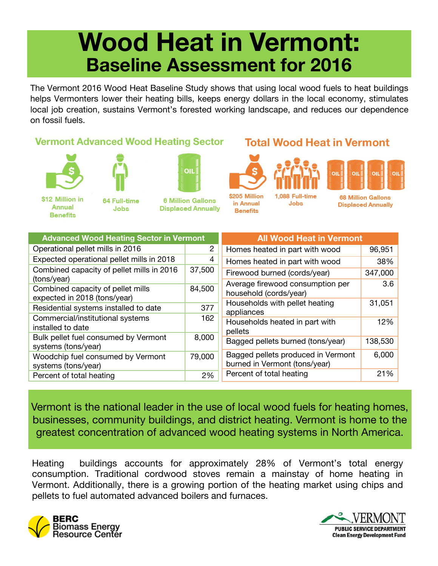## **Wood Heat in Vermont: Baseline Assessment for 2016**

The Vermont 2016 Wood Heat Baseline Study shows that using local wood fuels to heat buildings helps Vermonters lower their heating bills, keeps energy dollars in the local economy, stimulates local job creation, sustains Vermont's forested working landscape, and reduces our dependence on fossil fuels.

## **Vermont Advanced Wood Heating Sector**





**Jobs** 





\$12 Million in **Annual Benefits** 

64 Full-time

**6 Million Gallons Displaced Annually** 



1.088 Full-time **Jobs** 

**Total Wood Heat in Vermont** 



**68 Million Gallons Displaced Annually** 

| <b>Advanced Wood Heating Sector in Vermont</b>                    |        | <b>All Wood Heat in Vermont</b>                                     |         |
|-------------------------------------------------------------------|--------|---------------------------------------------------------------------|---------|
| Operational pellet mills in 2016                                  | 2      | Homes heated in part with wood                                      | 96,951  |
| Expected operational pellet mills in 2018                         | 4      | Homes heated in part with wood                                      | 38%     |
| Combined capacity of pellet mills in 2016<br>(tons/year)          | 37,500 | Firewood burned (cords/year)                                        | 347,000 |
| Combined capacity of pellet mills<br>expected in 2018 (tons/year) | 84,500 | Average firewood consumption per<br>household (cords/year)          | 3.6     |
| Residential systems installed to date                             | 377    | Households with pellet heating<br>appliances                        | 31,051  |
| Commercial/institutional systems<br>installed to date             | 162    | Households heated in part with<br>pellets                           | 12%     |
| Bulk pellet fuel consumed by Vermont<br>systems (tons/year)       | 8,000  | Bagged pellets burned (tons/year)                                   | 138,530 |
| Woodchip fuel consumed by Vermont<br>systems (tons/year)          | 79,000 | Bagged pellets produced in Vermont<br>burned in Vermont (tons/year) | 6,000   |
| Percent of total heating                                          | 2%     | Percent of total heating                                            | 21%     |

Vermont is the national leader in the use of local wood fuels for heating homes, businesses, community buildings, and district heating. Vermont is home to the greatest concentration of advanced wood heating systems in North America.

Heating buildings accounts for approximately 28% of Vermont's total energy consumption. Traditional cordwood stoves remain a mainstay of home heating in Vermont. Additionally, there is a growing portion of the heating market using chips and pellets to fuel automated advanced boilers and furnaces.